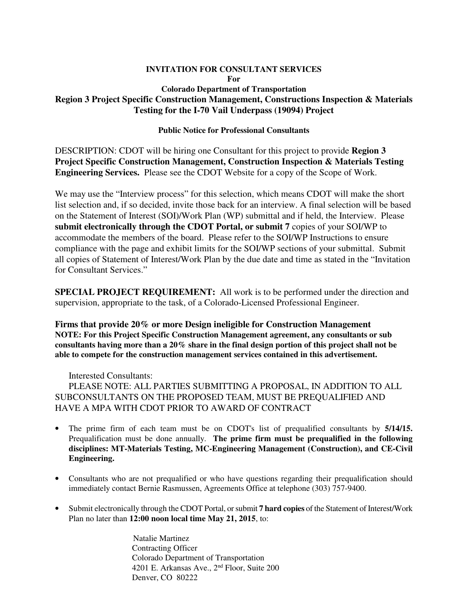# **INVITATION FOR CONSULTANT SERVICES**

**For** 

# **Colorado Department of Transportation Region 3 Project Specific Construction Management, Constructions Inspection & Materials Testing for the I-70 Vail Underpass (19094) Project**

#### **Public Notice for Professional Consultants**

DESCRIPTION: CDOT will be hiring one Consultant for this project to provide **Region 3 Project Specific Construction Management, Construction Inspection & Materials Testing Engineering Services.** Please see the CDOT Website for a copy of the Scope of Work.

We may use the "Interview process" for this selection, which means CDOT will make the short list selection and, if so decided, invite those back for an interview. A final selection will be based on the Statement of Interest (SOI)/Work Plan (WP) submittal and if held, the Interview. Please **submit electronically through the CDOT Portal, or submit 7** copies of your SOI/WP to accommodate the members of the board. Please refer to the SOI/WP Instructions to ensure compliance with the page and exhibit limits for the SOI/WP sections of your submittal. Submit all copies of Statement of Interest/Work Plan by the due date and time as stated in the "Invitation for Consultant Services."

**SPECIAL PROJECT REQUIREMENT:** All work is to be performed under the direction and supervision, appropriate to the task, of a Colorado-Licensed Professional Engineer.

**Firms that provide 20% or more Design ineligible for Construction Management NOTE: For this Project Specific Construction Management agreement, any consultants or sub consultants having more than a 20% share in the final design portion of this project shall not be able to compete for the construction management services contained in this advertisement.**

Interested Consultants:

PLEASE NOTE: ALL PARTIES SUBMITTING A PROPOSAL, IN ADDITION TO ALL SUBCONSULTANTS ON THE PROPOSED TEAM, MUST BE PREQUALIFIED AND HAVE A MPA WITH CDOT PRIOR TO AWARD OF CONTRACT

- The prime firm of each team must be on CDOT's list of prequalified consultants by **5/14/15.** Prequalification must be done annually. **The prime firm must be prequalified in the following disciplines: MT-Materials Testing, MC-Engineering Management (Construction), and CE-Civil Engineering.**
- Consultants who are not prequalified or who have questions regarding their prequalification should immediately contact Bernie Rasmussen, Agreements Office at telephone (303) 757-9400.
- Submit electronically through the CDOT Portal, or submit **7 hard copies** of the Statement of Interest/Work Plan no later than **12:00 noon local time May 21, 2015**, to:

 Natalie Martinez Contracting Officer Colorado Department of Transportation 4201 E. Arkansas Ave., 2nd Floor, Suite 200 Denver, CO 80222